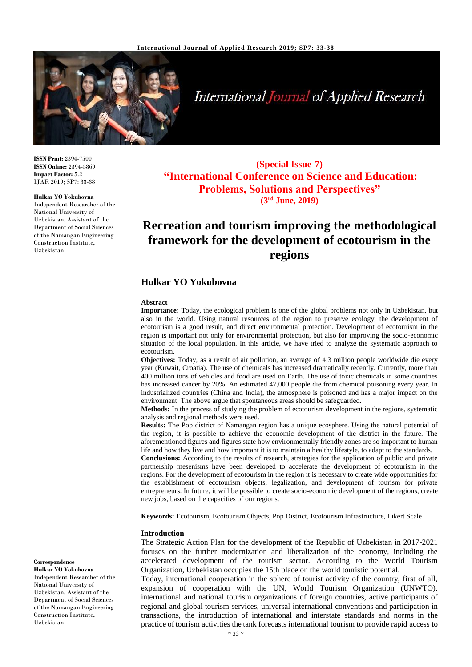

# **International Journal of Applied Research**

**ISSN Print:** 2394-7500 **ISSN Online:** 2394-5869 **Impact Factor:** 5.2 IJAR 2019; SP7: 33-38

## **Hulkar YO Yokubovna**

Independent Researcher of the National University of Uzbekistan, Assistant of the Department of Social Sciences of the Namangan Engineering Construction Institute, Uzbekistan

**(Special Issue-7) "International Conference on Science and Education: Problems, Solutions and Perspectives" (3 rd June, 2019)**

## **Recreation and tourism improving the methodological framework for the development of ecotourism in the regions**

## **Hulkar YO Yokubovna**

### **Abstract**

**Importance:** Today, the ecological problem is one of the global problems not only in Uzbekistan, but also in the world. Using natural resources of the region to preserve ecology, the development of ecotourism is a good result, and direct environmental protection. Development of ecotourism in the region is important not only for environmental protection, but also for improving the socio-economic situation of the local population. In this article, we have tried to analyze the systematic approach to ecotourism.

**Objectives:** Today, as a result of air pollution, an average of 4.3 million people worldwide die every year (Kuwait, Croatia). The use of chemicals has increased dramatically recently. Currently, more than 400 million tons of vehicles and food are used on Earth. The use of toxic chemicals in some countries has increased cancer by 20%. An estimated 47,000 people die from chemical poisoning every year. In industrialized countries (China and India), the atmosphere is poisoned and has a major impact on the environment. The above argue that spontaneous areas should be safeguarded.

**Methods:** In the process of studying the problem of ecotourism development in the regions, systematic analysis and regional methods were used.

**Results:** The Pop district of Namangan region has a unique ecosphere. Using the natural potential of the region, it is possible to achieve the economic development of the district in the future. The aforementioned figures and figures state how environmentally friendly zones are so important to human life and how they live and how important it is to maintain a healthy lifestyle, to adapt to the standards.

**Conclusions:** According to the results of research, strategies for the application of public and private partnership mesenisms have been developed to accelerate the development of ecotourism in the regions. For the development of ecotourism in the region it is necessary to create wide opportunities for the establishment of ecotourism objects, legalization, and development of tourism for private entrepreneurs. In future, it will be possible to create socio-economic development of the regions, create new jobs, based on the capacities of our regions.

**Keywords:** Ecotourism, Ecotourism Objects, Pop District, Ecotourism Infrastructure, Likert Scale

#### **Introduction**

The Strategic Action Plan for the development of the Republic of Uzbekistan in 2017-2021 focuses on the further modernization and liberalization of the economy, including the accelerated development of the tourism sector. According to the World Tourism Organization, Uzbekistan occupies the 15th place on the world touristic potential.

Today, international cooperation in the sphere of tourist activity of the country, first of all, expansion of cooperation with the UN, World Tourism Organization (UNWTO), international and national tourism organizations of foreign countries, active participants of regional and global tourism services, universal international conventions and participation in transactions, the introduction of international and interstate standards and norms in the practice of tourism activities the tank forecasts international tourism to provide rapid access to

**Correspondence Hulkar YO Yokubovna**

Independent Researcher of the National University of Uzbekistan, Assistant of the Department of Social Sciences of the Namangan Engineering Construction Institute, Uzbekistan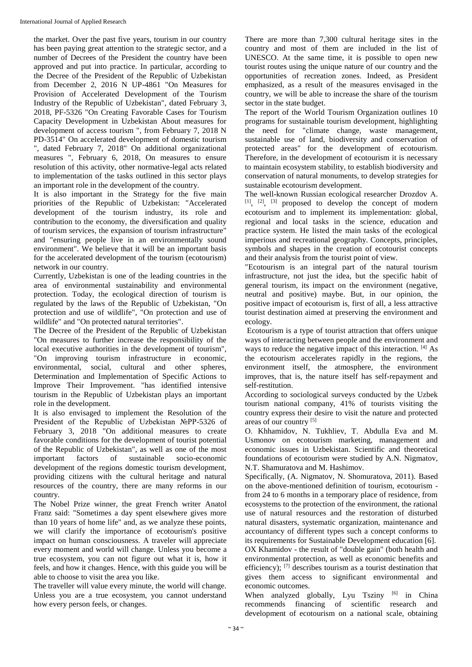the market. Over the past five years, tourism in our country has been paying great attention to the strategic sector, and a number of Decrees of the President the country have been approved and put into practice. In particular, according to the Decree of the President of the Republic of Uzbekistan from December 2, 2016 N UP-4861 "On Measures for Provision of Accelerated Development of the Tourism Industry of the Republic of Uzbekistan", dated February 3, 2018, PF-5326 "On Creating Favorable Cases for Tourism Capacity Development in Uzbekistan About measures for development of access tourism ", from February 7, 2018 N PD-3514" On accelerated development of domestic tourism ", dated February 7, 2018" On additional organizational measures ", February 6, 2018, On measures to ensure resolution of this activity, other normative-legal acts related to implementation of the tasks outlined in this sector plays an important role in the development of the country.

It is also important in the Strategy for the five main priorities of the Republic of Uzbekistan: "Accelerated development of the tourism industry, its role and contribution to the economy, the diversification and quality of tourism services, the expansion of tourism infrastructure" and "ensuring people live in an environmentally sound environment". We believe that it will be an important basis for the accelerated development of the tourism (ecotourism) network in our country.

Currently, Uzbekistan is one of the leading countries in the area of environmental sustainability and environmental protection. Today, the ecological direction of tourism is regulated by the laws of the Republic of Uzbekistan, "On protection and use of wildlife", "On protection and use of wildlife" and "On protected natural territories".

The Decree of the President of the Republic of Uzbekistan "On measures to further increase the responsibility of the local executive authorities in the development of tourism", "On improving tourism infrastructure in economic, environmental, social, cultural and other spheres, Determination and Implementation of Specific Actions to Improve Their Improvement. "has identified intensive tourism in the Republic of Uzbekistan plays an important role in the development.

It is also envisaged to implement the Resolution of the President of the Republic of Uzbekistan №PP-5326 of February 3, 2018 "On additional measures to create favorable conditions for the development of tourist potential of the Republic of Uzbekistan", as well as one of the most important factors of sustainable socio-economic development of the regions domestic tourism development, providing citizens with the cultural heritage and natural resources of the country, there are many reforms in our country.

The Nobel Prize winner, the great French writer Anatol Franz said: "Sometimes a day spent elsewhere gives more than 10 years of home life" and, as we analyze these points, we will clarify the importance of ecotourism's positive impact on human consciousness. A traveler will appreciate every moment and world will change. Unless you become a true ecosystem, you can not figure out what it is, how it feels, and how it changes. Hence, with this guide you will be able to choose to visit the area you like.

The traveller will value every minute, the world will change. Unless you are a true ecosystem, you cannot understand how every person feels, or changes.

There are more than 7,300 cultural heritage sites in the country and most of them are included in the list of UNESCO. At the same time, it is possible to open new tourist routes using the unique nature of our country and the opportunities of recreation zones. Indeed, as President emphasized, as a result of the measures envisaged in the country, we will be able to increase the share of the tourism sector in the state budget.

The report of the World Tourism Organization outlines 10 programs for sustainable tourism development, highlighting the need for "climate change, waste management, sustainable use of land, biodiversity and conservation of protected areas" for the development of ecotourism. Therefore, in the development of ecotourism it is necessary to maintain ecosystem stability, to establish biodiversity and conservation of natural monuments, to develop strategies for sustainable ecotourism development.

The well-known Russian ecological researcher Drozdov А.  $[1]$ ,  $[2]$ ,  $[3]$  proposed to develop the concept of modern ecotourism and to implement its implementation: global, regional and local tasks in the science, education and practice system. He listed the main tasks of the ecological imperious and recreational geography. Concepts, principles, symbols and shapes in the creation of ecotourist concepts and their analysis from the tourist point of view.

"Ecotourism is an integral part of the natural tourism infrastructure, not just the idea, but the specific habit of general tourism, its impact on the environment (negative, neutral and positive) maybe. But, in our opinion, the positive impact of ecotourism is, first of all, a less attractive tourist destination aimed at preserving the environment and ecology.

Ecotourism is a type of tourist attraction that offers unique ways of interacting between people and the environment and ways to reduce the negative impact of this interaction. [4] As the ecotourism accelerates rapidly in the regions, the environment itself, the atmosphere, the environment improves, that is, the nature itself has self-repayment and self-restitution.

According to sociological surveys conducted by the Uzbek tourism national company, 41% of tourists visiting the country express their desire to visit the nature and protected areas of our country [5]

O. Khhamidov, N. Tukhliev, T. Abdulla Eva and M. Usmonov on ecotourism marketing, management and economic issues in Uzbekistan. Scientific and theoretical foundations of ecotourism were studied by A.N. Nigmatov, N.T. Shamuratova and M. Hashimov.

Specifically, (A. Nigmatov, N. Shomuratova, 2011). Based on the above-mentioned definition of tourism, ecotourism from 24 to 6 months in a temporary place of residence, from ecosystems to the protection of the environment, the rational use of natural resources and the restoration of disturbed natural disasters, systematic organization, maintenance and accountancy of different types such a concept conforms to its requirements for Sustainable Development education [6]. OX Khamidov - the result of "double gain" (both health and environmental protection, as well as economic benefits and efficiency); [7] describes tourism as a tourist destination that gives them access to significant environmental and economic outcomes.

When analyzed globally, Lyu Tsziny  $[6]$  in China recommends financing of scientific research and development of ecotourism on a national scale, obtaining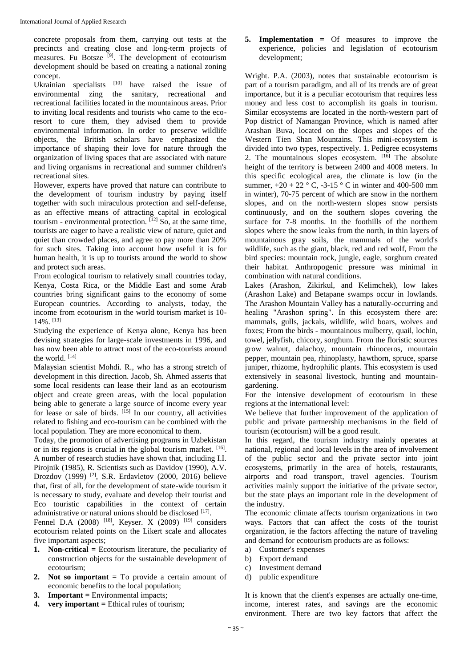concrete proposals from them, carrying out tests at the precincts and creating close and long-term projects of measures. Fu Botsze<sup>[9]</sup>. The development of ecotourism development should be based on creating a national zoning concept.

Ukrainian specialists  $[10]$  have raised the issue of environmental zing the sanitary, recreational and recreational facilities located in the mountainous areas. Prior to inviting local residents and tourists who came to the ecoresort to cure them, they advised them to provide environmental information. In order to preserve wildlife objects, the British scholars have emphasized the importance of shaping their love for nature through the organization of living spaces that are associated with nature and living organisms in recreational and summer children's recreational sites.

However, experts have proved that nature can contribute to the development of tourism industry by paying itself together with such miraculous protection and self-defense, as an effective means of attracting capital in ecological tourism - environmental protection.  $[12]$  So, at the same time, tourists are eager to have a realistic view of nature, quiet and quiet than crowded places, and agree to pay more than 20% for such sites. Taking into account how useful it is for human health, it is up to tourists around the world to show and protect such areas.

From ecological tourism to relatively small countries today, Kenya, Costa Rica, or the Middle East and some Arab countries bring significant gains to the economy of some European countries. According to analysts, today, the income from ecotourism in the world tourism market is 10- 14%. [13]

Studying the experience of Kenya alone, Kenya has been devising strategies for large-scale investments in 1996, and has now been able to attract most of the eco-tourists around the world. [14]

Malaysian scientist Mohdi. R., who has a strong stretch of development in this direction. Jacob, Sh. Ahmed asserts that some local residents can lease their land as an ecotourism object and create green areas, with the local population being able to generate a large source of income every year for lease or sale of birds.  $[15]$  In our country, all activities related to fishing and eco-tourism can be combined with the local population. They are more economical to them.

Today, the promotion of advertising programs in Uzbekistan or in its regions is crucial in the global tourism market.  $[16]$ . A number of research studies have shown that, including I.I. Pirojnik (1985), R. Scientists such as Davidov (1990), A.V. Drozdov (1999) [2], S.R. Erdavletov (2000, 2016) believe that, first of all, for the development of state-wide tourism it is necessary to study, evaluate and develop their tourist and Eco touristic capabilities in the context of certain administrative or natural unions should be disclosed [17].

Fennel D.A (2008) <sup>[18]</sup>, Keyser. X (2009) <sup>[19]</sup> considers ecotourism related points on the Likert scale and allocates five important aspects;

- **1. Non-critical =** Ecotourism literature, the peculiarity of construction objects for the sustainable development of ecotourism;
- **2. Not so important =** To provide a certain amount of economic benefits to the local population;
- **3. Important =** Environmental impacts;
- **4. very important =** Ethical rules of tourism;

**5. Implementation =** Of measures to improve the experience, policies and legislation of ecotourism development;

Wright. P.A. (2003), notes that sustainable ecotourism is part of a tourism paradigm, and all of its trends are of great importance, but it is a peculiar ecotourism that requires less money and less cost to accomplish its goals in tourism. Similar ecosystems are located in the north-western part of Pop district of Namangan Province, which is named after Arashan Buva, located on the slopes and slopes of the Western Tien Shan Mountains. This mini-ecosystem is divided into two types, respectively. 1. Pedigree ecosystems 2. The mountainous slopes ecosystem.  $[16]$  The absolute height of the territory is between 2400 and 4008 meters. In this specific ecological area, the climate is low (in the summer,  $+20 + 22$  ° C,  $-3-15$  ° C in winter and 400-500 mm in winter), 70-75 percent of which are snow in the northern slopes, and on the north-western slopes snow persists continuously, and on the southern slopes covering the surface for 7-8 months. In the foothills of the northern slopes where the snow leaks from the north, in thin layers of mountainous gray soils, the mammals of the world's wildlife, such as the giant, black, red and red wolf, From the bird species: mountain rock, jungle, eagle, sorghum created their habitat. Anthropogenic pressure was minimal in combination with natural conditions.

Lakes (Arashon, Zikirkul, and Kelimchek), low lakes (Arashon Lake) and Betapane swamps occur in lowlands. The Arashon Mountain Valley has a naturally-occurring and healing "Arashon spring". In this ecosystem there are: mammals, gulls, jackals, wildlife, wild boars, wolves and foxes; From the birds - mountainous mulberry, quail, lochin, towel, jellyfish, chicory, sorghum. From the floristic sources grow walnut, dalachoy, mountain rhinoceros, mountain pepper, mountain pea, rhinoplasty, hawthorn, spruce, sparse juniper, rhizome, hydrophilic plants. This ecosystem is used extensively in seasonal livestock, hunting and mountaingardening.

For the intensive development of ecotourism in these regions at the international level:

We believe that further improvement of the application of public and private partnership mechanisms in the field of tourism (ecotourism) will be a good result.

In this regard, the tourism industry mainly operates at national, regional and local levels in the area of involvement of the public sector and the private sector into joint ecosystems, primarily in the area of hotels, restaurants, airports and road transport, travel agencies. Tourism activities mainly support the initiative of the private sector, but the state plays an important role in the development of the industry.

The economic climate affects tourism organizations in two ways. Factors that can affect the costs of the tourist organization, ie the factors affecting the nature of traveling and demand for ecotourism products are as follows:

- a) Customer's expenses
- b) Export demand
- c) Investment demand
- d) public expenditure

It is known that the client's expenses are actually one-time, income, interest rates, and savings are the economic environment. There are two key factors that affect the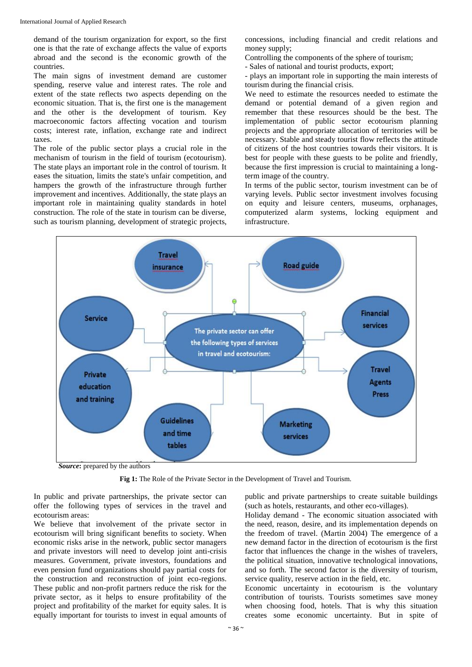demand of the tourism organization for export, so the first one is that the rate of exchange affects the value of exports abroad and the second is the economic growth of the countries.

The main signs of investment demand are customer spending, reserve value and interest rates. The role and extent of the state reflects two aspects depending on the economic situation. That is, the first one is the management and the other is the development of tourism. Key macroeconomic factors affecting vocation and tourism costs; interest rate, inflation, exchange rate and indirect taxes.

The role of the public sector plays a crucial role in the mechanism of tourism in the field of tourism (ecotourism). The state plays an important role in the control of tourism. It eases the situation, limits the state's unfair competition, and hampers the growth of the infrastructure through further improvement and incentives. Additionally, the state plays an important role in maintaining quality standards in hotel construction. The role of the state in tourism can be diverse, such as tourism planning, development of strategic projects, concessions, including financial and credit relations and money supply;

Controlling the components of the sphere of tourism;

- Sales of national and tourist products, export;

- plays an important role in supporting the main interests of tourism during the financial crisis.

We need to estimate the resources needed to estimate the demand or potential demand of a given region and remember that these resources should be the best. The implementation of public sector ecotourism planning projects and the appropriate allocation of territories will be necessary. Stable and steady tourist flow reflects the attitude of citizens of the host countries towards their visitors. It is best for people with these guests to be polite and friendly, because the first impression is crucial to maintaining a longterm image of the country.

In terms of the public sector, tourism investment can be of varying levels. Public sector investment involves focusing on equity and leisure centers, museums, orphanages, computerized alarm systems, locking equipment and infrastructure.



**Fig 1:** The Role of the Private Sector in the Development of Travel and Tourism.

In public and private partnerships, the private sector can offer the following types of services in the travel and ecotourism areas:

We believe that involvement of the private sector in ecotourism will bring significant benefits to society. When economic risks arise in the network, public sector managers and private investors will need to develop joint anti-crisis measures. Government, private investors, foundations and even pension fund organizations should pay partial costs for the construction and reconstruction of joint eco-regions. These public and non-profit partners reduce the risk for the private sector, as it helps to ensure profitability of the project and profitability of the market for equity sales. It is equally important for tourists to invest in equal amounts of

public and private partnerships to create suitable buildings (such as hotels, restaurants, and other eco-villages).

Holiday demand - The economic situation associated with the need, reason, desire, and its implementation depends on the freedom of travel. (Martin 2004) The emergence of a new demand factor in the direction of ecotourism is the first factor that influences the change in the wishes of travelers, the political situation, innovative technological innovations, and so forth. The second factor is the diversity of tourism, service quality, reserve action in the field, etc.

Economic uncertainty in ecotourism is the voluntary contribution of tourists. Tourists sometimes save money when choosing food, hotels. That is why this situation creates some economic uncertainty. But in spite of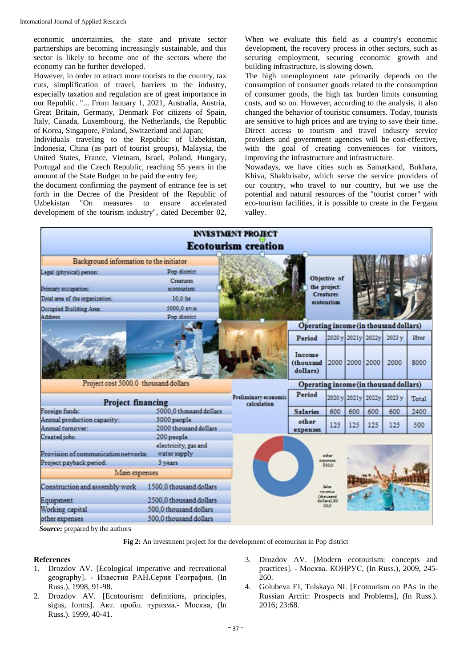economic uncertainties, the state and private sector partnerships are becoming increasingly sustainable, and this sector is likely to become one of the sectors where the economy can be further developed.

However, in order to attract more tourists to the country, tax cuts, simplification of travel, barriers to the industry, especially taxation and regulation are of great importance in our Republic. "... From January 1, 2021, Australia, Austria, Great Britain, Germany, Denmark For citizens of Spain, Italy, Canada, Luxembourg, the Netherlands, the Republic of Korea, Singapore, Finland, Switzerland and Japan;

Individuals traveling to the Republic of Uzbekistan, Indonesia, China (as part of tourist groups), Malaysia, the United States, France, Vietnam, Israel, Poland, Hungary, Portugal and the Czech Republic, reaching 55 years in the amount of the State Budget to be paid the entry fee;

the document confirming the payment of entrance fee is set forth in the Decree of the President of the Republic of Uzbekistan "On measures to ensure accelerated development of the tourism industry", dated December 02,

When we evaluate this field as a country's economic development, the recovery process in other sectors, such as securing employment, securing economic growth and building infrastructure, is slowing down.

The high unemployment rate primarily depends on the consumption of consumer goods related to the consumption of consumer goods, the high tax burden limits consuming costs, and so on. However, according to the analysis, it also changed the behavior of touristic consumers. Today, tourists are sensitive to high prices and are trying to save their time. Direct access to tourism and travel industry service providers and government agencies will be cost-effective, with the goal of creating conveniences for visitors, improving the infrastructure and infrastructure.

Nowadays, we have cities such as Samarkand, Bukhara, Khiva, Shakhrisabz, which serve the service providers of our country, who travel to our country, but we use the potential and natural resources of the "tourist corner" with eco-tourism facilities, it is possible to create in the Fergana valley.

|                                                                                  |                                                               | <b>INVESTMENT PROJECT</b>              |                                 |                                     |     |                    |        |       |
|----------------------------------------------------------------------------------|---------------------------------------------------------------|----------------------------------------|---------------------------------|-------------------------------------|-----|--------------------|--------|-------|
|                                                                                  |                                                               | <b>Ecotourism creation</b>             |                                 |                                     |     |                    |        |       |
| Background information to the initiator                                          |                                                               |                                        |                                 |                                     |     |                    |        |       |
| Legal (physical) person:                                                         | Pop district<br>Creatures                                     |                                        |                                 | Objective of                        |     |                    |        |       |
| Primary occupation:                                                              | ecotourism                                                    |                                        |                                 | the project:                        |     |                    |        |       |
| Total area of the organization:                                                  | 10,0 he                                                       |                                        |                                 | <b>Creatures</b><br>ecotourism      |     |                    |        |       |
| Occupied Building Area:<br><b>Address</b>                                        | 5000.0 KV.M<br>Pop district                                   |                                        |                                 |                                     |     |                    |        |       |
| Operating income (in thousand dollars)                                           |                                                               |                                        |                                 |                                     |     |                    |        |       |
|                                                                                  |                                                               |                                        | Period                          |                                     |     | 2020 y 2021y 2022y | 2023 v | Итог  |
|                                                                                  |                                                               |                                        | Income<br>(thousand<br>dollars) |                                     |     | 2000 2000 2000     | 2000   | 8000  |
| Project cost 5000.0 thousand dollars                                             |                                                               | Operating income (in thousand dollars) |                                 |                                     |     |                    |        |       |
| <b>Project financing</b>                                                         |                                                               | Preliminary economic<br>calculation    | Period                          |                                     |     | 2020 y 2021y 2022y | 2023 y | Total |
| Foreign funds:                                                                   | 5000,0 thousand dollars                                       |                                        | <b>Salaries</b>                 | 600                                 | 600 | 600                | 600    | 2400  |
| Annual production capacity:<br>Annual turnover:                                  | 3000 people<br>2000 thousand dollars                          |                                        | other<br>expenses               | 125                                 | 125 | 125                | 125    | 500   |
| Created jobs:<br>Provision of communication networks:<br>Project payback period: | 200 people<br>electricity, gas and<br>water supply<br>3 years |                                        |                                 | other<br><b>DIDENVILLE</b><br>500.0 |     |                    |        |       |
| Main expenses                                                                    |                                                               |                                        |                                 |                                     |     |                    |        |       |
| Construction and assembly work                                                   | 1500.0 thousand dollars                                       |                                        |                                 | Sales<br>revenue                    |     |                    |        |       |
| Equipment                                                                        | 2500,0 thousand dollars                                       |                                        |                                 | thousand<br>collars):00<br>00.0     |     |                    |        |       |
| Working capital                                                                  | 500.0 thousand dollars                                        |                                        |                                 |                                     |     |                    |        |       |
| other expenses                                                                   | 500.0 thousand dollars                                        |                                        |                                 |                                     |     |                    |        |       |

**Source:** prepared by the authors

**Fig 2:** An investment project for the development of ecotourism in Pop district

## **References**

- 1. Drozdov AV. [Ecological imperative and recreational geography]. - Известия РАН.Серия География, (In Russ.), 1998, 91-98.
- 2. Drozdov AV*.* [Ecotourism: definitions, principles, signs, forms]. Акт. пробл. туризма.- Москва, (In Russ.). 1999, 40-41.
- 3. Drozdov AV. [Modern ecotourism: concepts and practices]. - Москва. КОНРУС, (In Russ.), 2009, 245- 260.
- 4. Golubeva EI, Tulskaya NI. [Ecotourism on PAs in the Russian Arctic: Prospects and Problems], (In Russ.). 2016; 23:68.